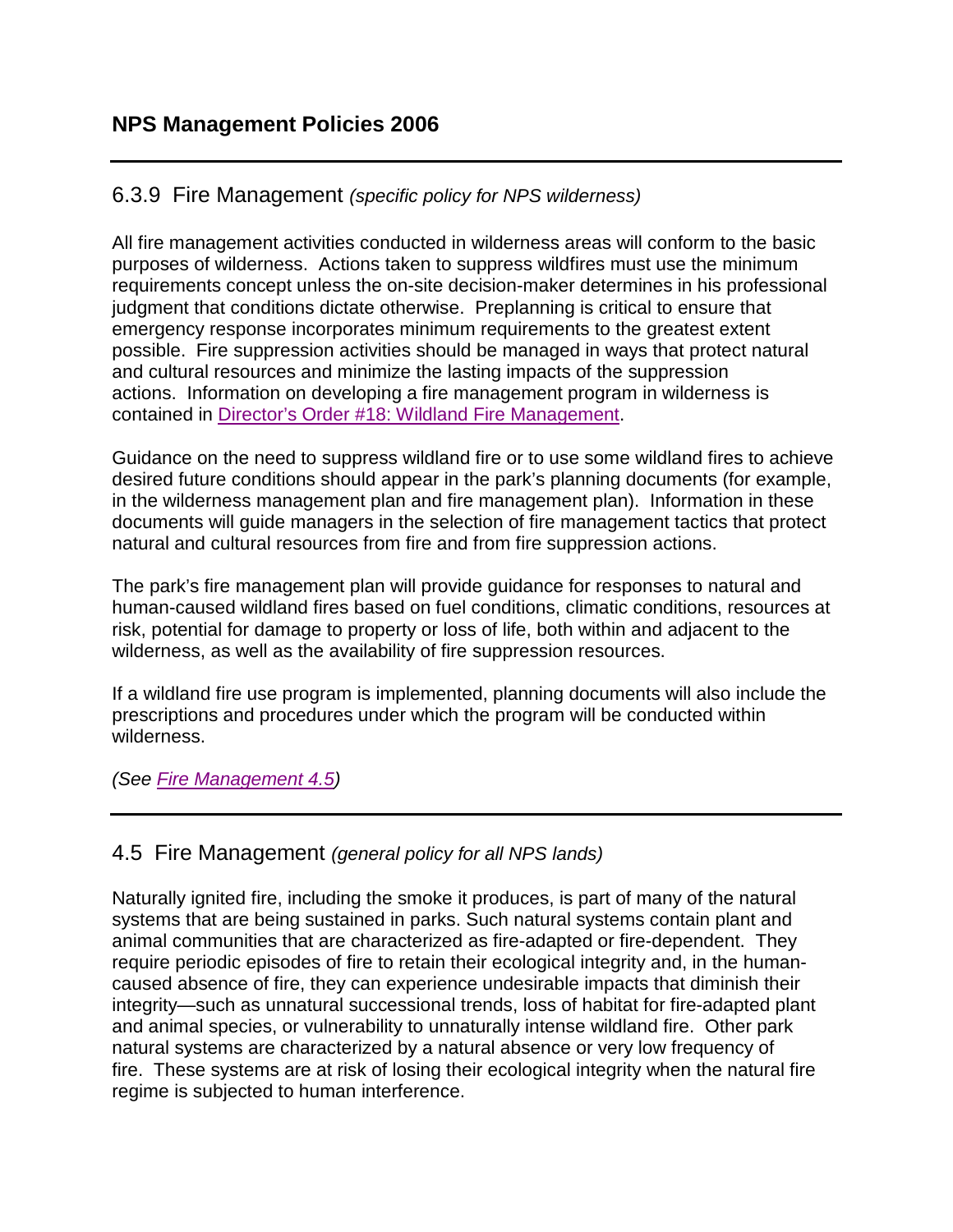## 6.3.9 Fire Management *(specific policy for NPS wilderness)*

All fire management activities conducted in wilderness areas will conform to the basic purposes of wilderness. Actions taken to suppress wildfires must use the minimum requirements concept unless the on-site decision-maker determines in his professional judgment that conditions dictate otherwise. Preplanning is critical to ensure that emergency response incorporates minimum requirements to the greatest extent possible. Fire suppression activities should be managed in ways that protect natural and cultural resources and minimize the lasting impacts of the suppression actions. Information on developing a fire management program in wilderness is contained in [Director's Order #18: Wildland Fire Management](http://www.nps.gov/policy/DOrders/DO_18.pdf).

Guidance on the need to suppress wildland fire or to use some wildland fires to achieve desired future conditions should appear in the park's planning documents (for example, in the wilderness management plan and fire management plan). Information in these documents will guide managers in the selection of fire management tactics that protect natural and cultural resources from fire and from fire suppression actions.

The park's fire management plan will provide guidance for responses to natural and human-caused wildland fires based on fuel conditions, climatic conditions, resources at risk, potential for damage to property or loss of life, both within and adjacent to the wilderness, as well as the availability of fire suppression resources.

If a wildland fire use program is implemented, planning documents will also include the prescriptions and procedures under which the program will be conducted within wilderness.

*(See [Fire Management 4.5\)](http://www.nps.gov/policy/mp/policies.html#FireManagement45)* 

## 4.5 Fire Management *(general policy for all NPS lands)*

Naturally ignited fire, including the smoke it produces, is part of many of the natural systems that are being sustained in parks. Such natural systems contain plant and animal communities that are characterized as fire-adapted or fire-dependent. They require periodic episodes of fire to retain their ecological integrity and, in the humancaused absence of fire, they can experience undesirable impacts that diminish their integrity—such as unnatural successional trends, loss of habitat for fire-adapted plant and animal species, or vulnerability to unnaturally intense wildland fire. Other park natural systems are characterized by a natural absence or very low frequency of fire. These systems are at risk of losing their ecological integrity when the natural fire regime is subjected to human interference.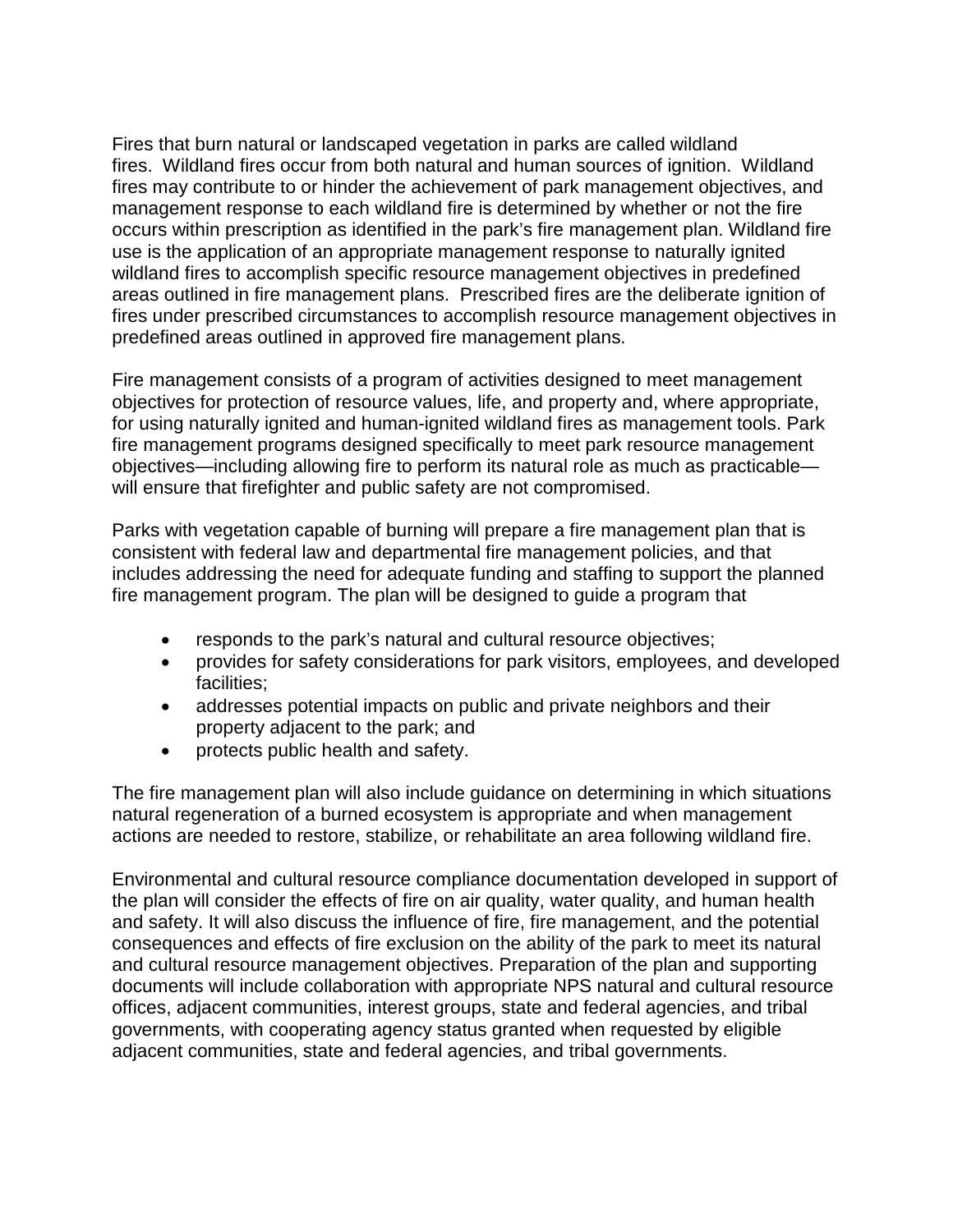Fires that burn natural or landscaped vegetation in parks are called wildland fires. Wildland fires occur from both natural and human sources of ignition. Wildland fires may contribute to or hinder the achievement of park management objectives, and management response to each wildland fire is determined by whether or not the fire occurs within prescription as identified in the park's fire management plan. Wildland fire use is the application of an appropriate management response to naturally ignited wildland fires to accomplish specific resource management objectives in predefined areas outlined in fire management plans. Prescribed fires are the deliberate ignition of fires under prescribed circumstances to accomplish resource management objectives in predefined areas outlined in approved fire management plans.

Fire management consists of a program of activities designed to meet management objectives for protection of resource values, life, and property and, where appropriate, for using naturally ignited and human-ignited wildland fires as management tools. Park fire management programs designed specifically to meet park resource management objectives—including allowing fire to perform its natural role as much as practicable will ensure that firefighter and public safety are not compromised.

Parks with vegetation capable of burning will prepare a fire management plan that is consistent with federal law and departmental fire management policies, and that includes addressing the need for adequate funding and staffing to support the planned fire management program. The plan will be designed to guide a program that

- responds to the park's natural and cultural resource objectives;
- provides for safety considerations for park visitors, employees, and developed facilities;
- addresses potential impacts on public and private neighbors and their property adjacent to the park; and
- protects public health and safety.

The fire management plan will also include guidance on determining in which situations natural regeneration of a burned ecosystem is appropriate and when management actions are needed to restore, stabilize, or rehabilitate an area following wildland fire.

Environmental and cultural resource compliance documentation developed in support of the plan will consider the effects of fire on air quality, water quality, and human health and safety. It will also discuss the influence of fire, fire management, and the potential consequences and effects of fire exclusion on the ability of the park to meet its natural and cultural resource management objectives. Preparation of the plan and supporting documents will include collaboration with appropriate NPS natural and cultural resource offices, adjacent communities, interest groups, state and federal agencies, and tribal governments, with cooperating agency status granted when requested by eligible adjacent communities, state and federal agencies, and tribal governments.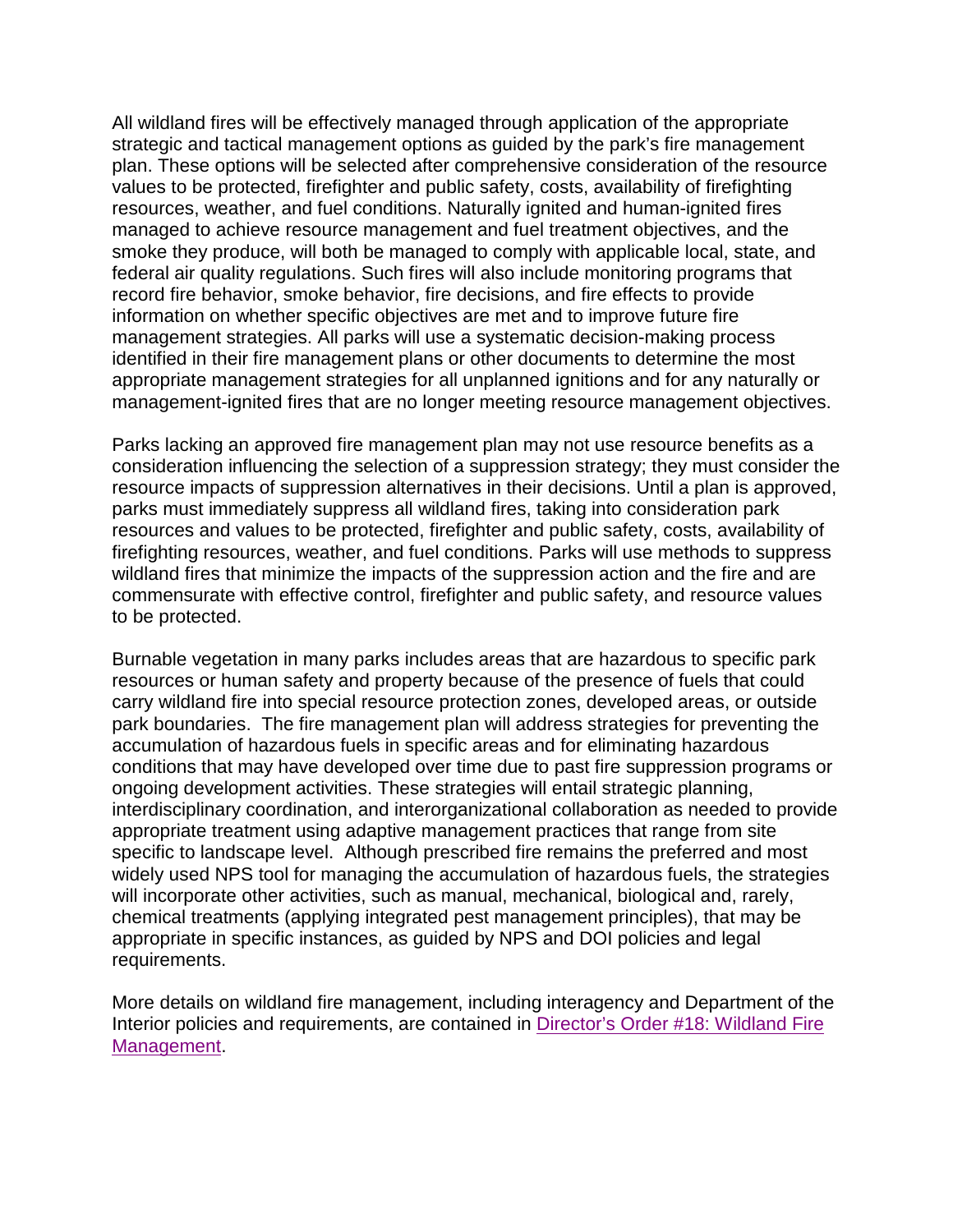All wildland fires will be effectively managed through application of the appropriate strategic and tactical management options as guided by the park's fire management plan. These options will be selected after comprehensive consideration of the resource values to be protected, firefighter and public safety, costs, availability of firefighting resources, weather, and fuel conditions. Naturally ignited and human-ignited fires managed to achieve resource management and fuel treatment objectives, and the smoke they produce, will both be managed to comply with applicable local, state, and federal air quality regulations. Such fires will also include monitoring programs that record fire behavior, smoke behavior, fire decisions, and fire effects to provide information on whether specific objectives are met and to improve future fire management strategies. All parks will use a systematic decision-making process identified in their fire management plans or other documents to determine the most appropriate management strategies for all unplanned ignitions and for any naturally or management-ignited fires that are no longer meeting resource management objectives.

Parks lacking an approved fire management plan may not use resource benefits as a consideration influencing the selection of a suppression strategy; they must consider the resource impacts of suppression alternatives in their decisions. Until a plan is approved, parks must immediately suppress all wildland fires, taking into consideration park resources and values to be protected, firefighter and public safety, costs, availability of firefighting resources, weather, and fuel conditions. Parks will use methods to suppress wildland fires that minimize the impacts of the suppression action and the fire and are commensurate with effective control, firefighter and public safety, and resource values to be protected.

Burnable vegetation in many parks includes areas that are hazardous to specific park resources or human safety and property because of the presence of fuels that could carry wildland fire into special resource protection zones, developed areas, or outside park boundaries. The fire management plan will address strategies for preventing the accumulation of hazardous fuels in specific areas and for eliminating hazardous conditions that may have developed over time due to past fire suppression programs or ongoing development activities. These strategies will entail strategic planning, interdisciplinary coordination, and interorganizational collaboration as needed to provide appropriate treatment using adaptive management practices that range from site specific to landscape level. Although prescribed fire remains the preferred and most widely used NPS tool for managing the accumulation of hazardous fuels, the strategies will incorporate other activities, such as manual, mechanical, biological and, rarely, chemical treatments (applying integrated pest management principles), that may be appropriate in specific instances, as guided by NPS and DOI policies and legal requirements.

More details on wildland fire management, including interagency and Department of the Interior policies and requirements, are contained in [Director's Order #18: Wildland Fire](http://www.nps.gov/policy/DOrders/DO_18.pdf)  [Management.](http://www.nps.gov/policy/DOrders/DO_18.pdf)